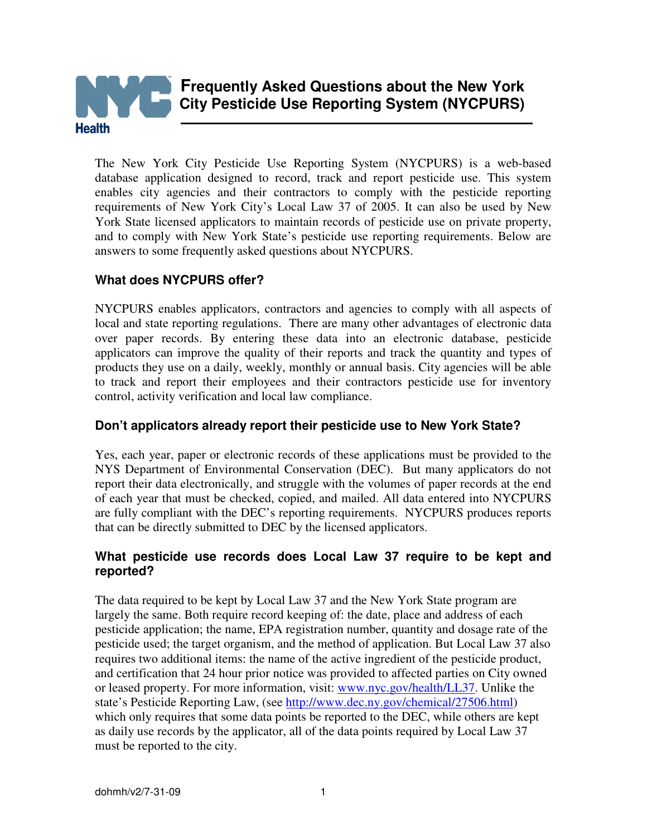

The New York City Pesticide Use Reporting System (NYCPURS) is a web-based database application designed to record, track and report pesticide use. This system enables city agencies and their contractors to comply with the pesticide reporting requirements of New York City's Local Law 37 of 2005. It can also be used by New York State licensed applicators to maintain records of pesticide use on private property, and to comply with New York State's pesticide use reporting requirements. Below are answers to some frequently asked questions about NYCPURS.

# **What does NYCPURS offer?**

NYCPURS enables applicators, contractors and agencies to comply with all aspects of local and state reporting regulations. There are many other advantages of electronic data over paper records. By entering these data into an electronic database, pesticide applicators can improve the quality of their reports and track the quantity and types of products they use on a daily, weekly, monthly or annual basis. City agencies will be able to track and report their employees and their contractors pesticide use for inventory control, activity verification and local law compliance.

# **Don't applicators already report their pesticide use to New York State?**

Yes, each year, paper or electronic records of these applications must be provided to the NYS Department of Environmental Conservation (DEC). But many applicators do not report their data electronically, and struggle with the volumes of paper records at the end of each year that must be checked, copied, and mailed. All data entered into NYCPURS are fully compliant with the DEC's reporting requirements. NYCPURS produces reports that can be directly submitted to DEC by the licensed applicators.

# **What pesticide use records does Local Law 37 require to be kept and reported?**

The data required to be kept by Local Law 37 and the New York State program are largely the same. Both require record keeping of: the date, place and address of each pesticide application; the name, EPA registration number, quantity and dosage rate of the pesticide used; the target organism, and the method of application. But Local Law 37 also requires two additional items: the name of the active ingredient of the pesticide product, and certification that 24 hour prior notice was provided to affected parties on City owned or leased property. For more information, visit: www.nyc.gov/health/LL37. Unlike the state's Pesticide Reporting Law, (see http://www.dec.ny.gov/chemical/27506.html) which only requires that some data points be reported to the DEC, while others are kept as daily use records by the applicator, all of the data points required by Local Law 37 must be reported to the city.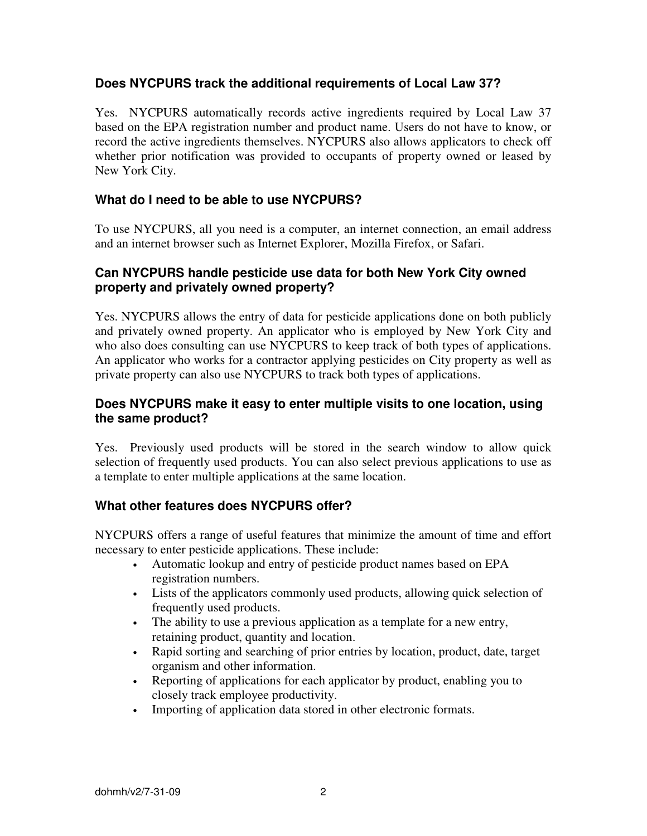# **Does NYCPURS track the additional requirements of Local Law 37?**

Yes. NYCPURS automatically records active ingredients required by Local Law 37 based on the EPA registration number and product name. Users do not have to know, or record the active ingredients themselves. NYCPURS also allows applicators to check off whether prior notification was provided to occupants of property owned or leased by New York City.

# **What do I need to be able to use NYCPURS?**

To use NYCPURS, all you need is a computer, an internet connection, an email address and an internet browser such as Internet Explorer, Mozilla Firefox, or Safari.

## **Can NYCPURS handle pesticide use data for both New York City owned property and privately owned property?**

Yes. NYCPURS allows the entry of data for pesticide applications done on both publicly and privately owned property. An applicator who is employed by New York City and who also does consulting can use NYCPURS to keep track of both types of applications. An applicator who works for a contractor applying pesticides on City property as well as private property can also use NYCPURS to track both types of applications.

# **Does NYCPURS make it easy to enter multiple visits to one location, using the same product?**

Yes. Previously used products will be stored in the search window to allow quick selection of frequently used products. You can also select previous applications to use as a template to enter multiple applications at the same location.

# **What other features does NYCPURS offer?**

NYCPURS offers a range of useful features that minimize the amount of time and effort necessary to enter pesticide applications. These include:

- Automatic lookup and entry of pesticide product names based on EPA registration numbers.
- Lists of the applicators commonly used products, allowing quick selection of frequently used products.
- The ability to use a previous application as a template for a new entry, retaining product, quantity and location.
- Rapid sorting and searching of prior entries by location, product, date, target organism and other information.
- Reporting of applications for each applicator by product, enabling you to closely track employee productivity.
- Importing of application data stored in other electronic formats.